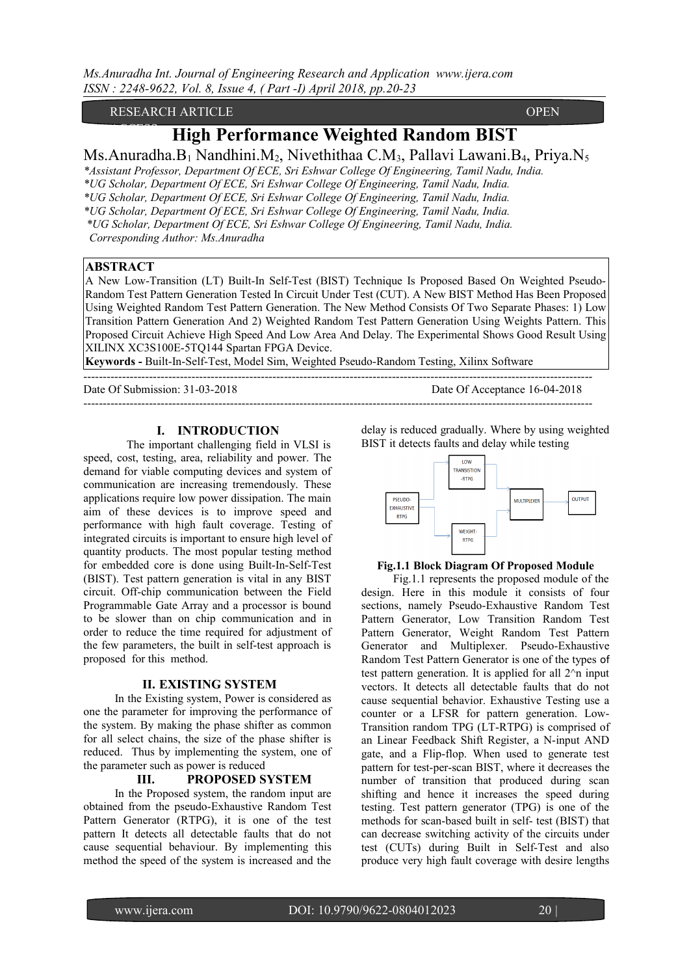RESEARCH ARTICLE **CONTRACT OPEN** 

# **High Performance Weighted Random BIST**

Ms.Anuradha.B<sub>1</sub> Nandhini.M<sub>2</sub>, Nivethithaa C.M<sub>3</sub>, Pallavi Lawani.B<sub>4</sub>, Priya.N<sub>5</sub>

*\*Assistant Professor, Department Of ECE, Sri Eshwar College Of Engineering, Tamil Nadu, India.* 

*\*UG Scholar, Department Of ECE, Sri Eshwar College Of Engineering, Tamil Nadu, India.*

*\*UG Scholar, Department Of ECE, Sri Eshwar College Of Engineering, Tamil Nadu, India.* 

*\*UG Scholar, Department Of ECE, Sri Eshwar College Of Engineering, Tamil Nadu, India.*

 *\*UG Scholar, Department Of ECE, Sri Eshwar College Of Engineering, Tamil Nadu, India.*

 *Corresponding Author: Ms.Anuradha*

# **ABSTRACT**

 $\overline{\phantom{a}}$ 

A New Low-Transition (LT) Built-In Self-Test (BIST) Technique Is Proposed Based On Weighted Pseudo-Random Test Pattern Generation Tested In Circuit Under Test (CUT). A New BIST Method Has Been Proposed Using Weighted Random Test Pattern Generation. The New Method Consists Of Two Separate Phases: 1) Low Transition Pattern Generation And 2) Weighted Random Test Pattern Generation Using Weights Pattern. This Proposed Circuit Achieve High Speed And Low Area And Delay. The Experimental Shows Good Result Using XILINX XC3S100E-5TQ144 Spartan FPGA Device.

**Keywords -** Built-In-Self-Test, Model Sim, Weighted Pseudo-Random Testing, Xilinx Software

------------------------------------------------------------------------------------------------------------------------------------ Date Of Submission: 31-03-2018 Date Of Acceptance 16-04-2018

------------------------------------------------------------------------------------------------------------------------------------

# **I. INTRODUCTION**

 The important challenging field in VLSI is speed, cost, testing, area, reliability and power. The demand for viable computing devices and system of communication are increasing tremendously. These applications require low power dissipation. The main aim of these devices is to improve speed and performance with high fault coverage. Testing of integrated circuits is important to ensure high level of quantity products. The most popular testing method for embedded core is done using Built-In-Self-Test (BIST). Test pattern generation is vital in any BIST circuit. Off-chip communication between the Field Programmable Gate Array and a processor is bound to be slower than on chip communication and in order to reduce the time required for adjustment of the few parameters, the built in self-test approach is proposed for this method.

### **II. EXISTING SYSTEM**

In the Existing system, Power is considered as one the parameter for improving the performance of the system. By making the phase shifter as common for all select chains, the size of the phase shifter is reduced. Thus by implementing the system, one of the parameter such as power is reduced

### **III. PROPOSED SYSTEM**

In the Proposed system, the random input are obtained from the pseudo-Exhaustive Random Test Pattern Generator (RTPG), it is one of the test pattern It detects all detectable faults that do not cause sequential behaviour. By implementing this method the speed of the system is increased and the delay is reduced gradually. Where by using weighted BIST it detects faults and delay while testing



#### **Fig.1.1 Block Diagram Of Proposed Module**

 Fig.1.1 represents the proposed module of the design. Here in this module it consists of four sections, namely Pseudo-Exhaustive Random Test Pattern Generator, Low Transition Random Test Pattern Generator, Weight Random Test Pattern Generator and Multiplexer. Pseudo-Exhaustive Random Test Pattern Generator is one of the types of test pattern generation. It is applied for all 2^n input vectors. It detects all detectable faults that do not cause sequential behavior. Exhaustive Testing use a counter or a LFSR for pattern generation. Low-Transition random TPG (LT-RTPG) is comprised of an Linear Feedback Shift Register, a N-input AND gate, and a Flip-flop. When used to generate test pattern for test-per-scan BIST, where it decreases the number of transition that produced during scan shifting and hence it increases the speed during testing. Test pattern generator (TPG) is one of the methods for scan-based built in self- test (BIST) that can decrease switching activity of the circuits under test (CUTs) during Built in Self-Test and also produce very high fault coverage with desire lengths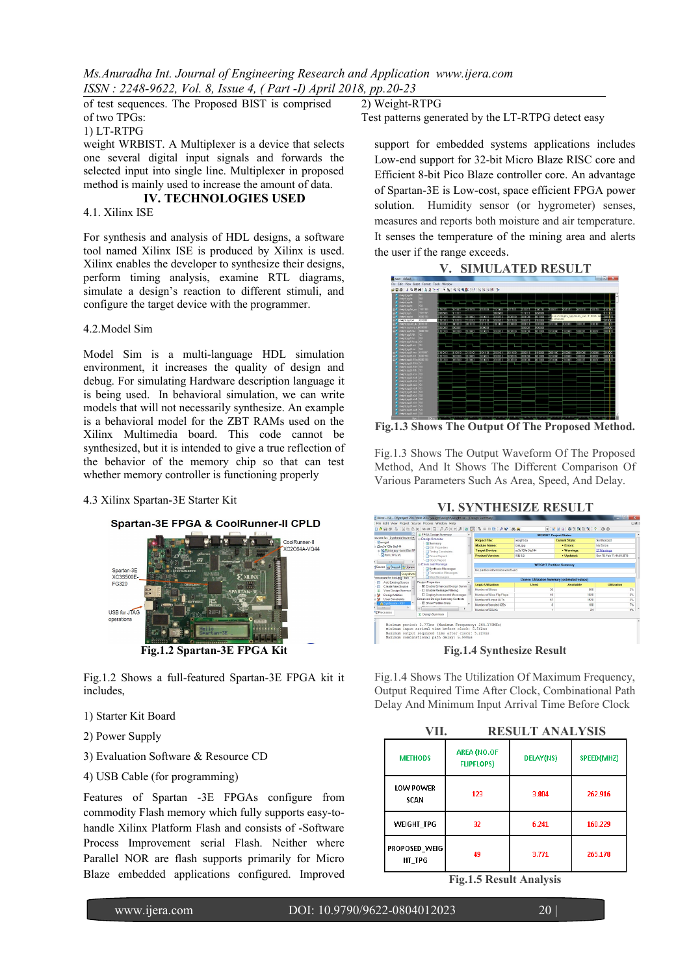*Ms.Anuradha Int. Journal of Engineering Research and Application www.ijera.com ISSN : 2248-9622, Vol. 8, Issue 4, ( Part -I) April 2018, pp.20-23*

of test sequences. The Proposed BIST is comprised of two TPGs: 1) LT-RTPG

weight WRBIST. A Multiplexer is a device that selects one several digital input signals and forwards the selected input into single line. Multiplexer in proposed method is mainly used to increase the amount of data.

# **IV. TECHNOLOGIES USED**

4.1. Xilinx ISE

For synthesis and analysis of HDL designs, a software tool named Xilinx ISE is produced by Xilinx is used. Xilinx enables the developer to synthesize their designs, perform timing analysis, examine RTL diagrams, simulate a design's reaction to different stimuli, and configure the target device with the programmer.

### 4.2.Model Sim

Model Sim is a multi-language HDL simulation environment, it increases the quality of design and debug. For simulating Hardware description language it is being used. In behavioral simulation, we can write models that will not necessarily synthesize. An example is a behavioral model for the ZBT RAMs used on the Xilinx Multimedia board. This code cannot be synthesized, but it is intended to give a true reflection of the behavior of the memory chip so that can test whether memory controller is functioning properly

4.3 Xilinx Spartan-3E Starter Kit





Fig.1.2 Shows a full-featured Spartan-3E FPGA kit it includes,

- 1) Starter Kit Board
- 2) Power Supply
- 3) Evaluation Software & Resource CD
- 4) USB Cable (for programming)

Features of Spartan -3E FPGAs configure from commodity Flash memory which fully supports easy-tohandle Xilinx Platform Flash and consists of -Software Process Improvement serial Flash. Neither where Parallel NOR are flash supports primarily for Micro Blaze embedded applications configured. Improved

2) Weight-RTPG

Test patterns generated by the LT-RTPG detect easy

support for embedded systems applications includes Low-end support for 32-bit Micro Blaze RISC core and Efficient 8-bit Pico Blaze controller core. An advantage of Spartan-3E is Low-cost, space efficient FPGA power solution. Humidity sensor (or hygrometer) senses, measures and reports both moisture and air temperature. It senses the temperature of the mining area and alerts the user if the range exceeds.



**Fig.1.3 Shows The Output Of The Proposed Method.**

Fig.1.3 Shows The Output Waveform Of The Proposed Method, And It Shows The Different Comparison Of Various Parameters Such As Area, Speed, And Delay.

### **VI. SYNTHESIZE RESULT**



Fig.1.4 Shows The Utilization Of Maximum Frequency, Output Required Time After Clock, Combinational Path Delay And Minimum Input Arrival Time Before Clock

|                          |                                  | <b>RESULT ANALYSIS</b> |            |
|--------------------------|----------------------------------|------------------------|------------|
| <b>METHODS</b>           | AREA (NO.OF<br><b>FLIPFLOPS)</b> | <b>DELAY(NS)</b>       | SPEED(MHZ) |
| <b>LOW POWER</b><br>SCAN | 123                              | 3.804                  | 262.916    |
| <b>WEIGHT TPG</b>        | 32                               | 6.241                  | 160.229    |
| PROPOSED_WEIG<br>HT TPG  | 49                               | 3.771                  | 265.178    |

**Fig.1.5 Result Analysis**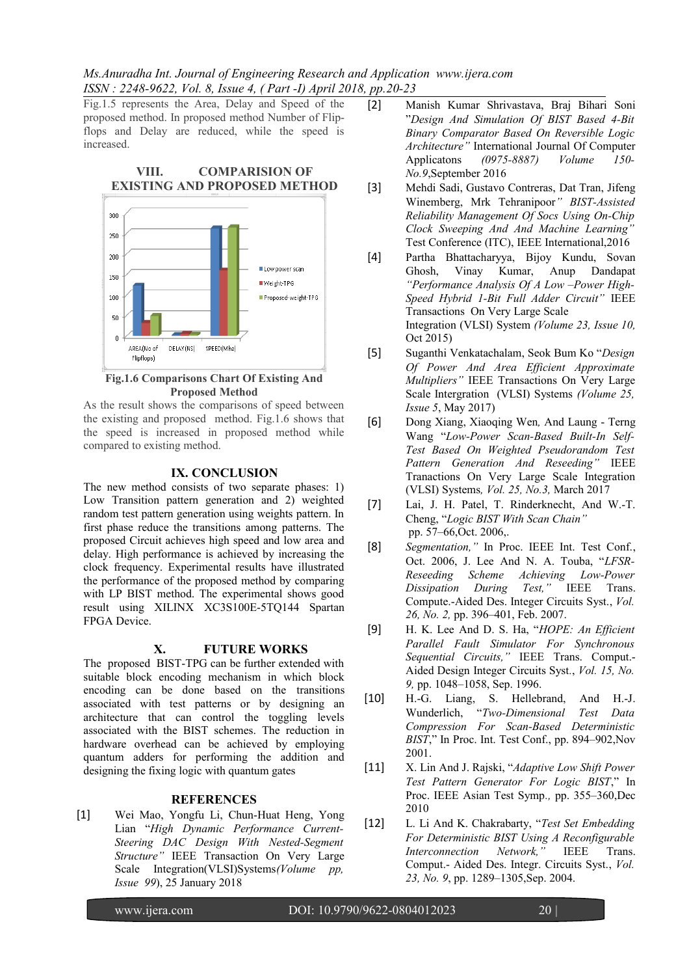*Ms.Anuradha Int. Journal of Engineering Research and Application www.ijera.com ISSN : 2248-9622, Vol. 8, Issue 4, ( Part -I) April 2018, pp.20-23*

Fig.1.5 represents the Area, Delay and Speed of the proposed method. In proposed method Number of Flipflops and Delay are reduced, while the speed is increased.

# **VIII. COMPARISION OF EXISTING AND PROPOSED METHOD**



#### **Fig.1.6 Comparisons Chart Of Existing And Proposed Method**

As the result shows the comparisons of speed between the existing and proposed method. Fig.1.6 shows that the speed is increased in proposed method while compared to existing method.

### **IX. CONCLUSION**

The new method consists of two separate phases: 1) Low Transition pattern generation and 2) weighted random test pattern generation using weights pattern. In first phase reduce the transitions among patterns. The proposed Circuit achieves high speed and low area and delay. High performance is achieved by increasing the clock frequency. Experimental results have illustrated the performance of the proposed method by comparing with LP BIST method. The experimental shows good result using XILINX XC3S100E-5TQ144 Spartan FPGA Device.

# **X. FUTURE WORKS**

The proposed BIST-TPG can be further extended with suitable block encoding mechanism in which block encoding can be done based on the transitions associated with test patterns or by designing an architecture that can control the toggling levels associated with the BIST schemes. The reduction in hardware overhead can be achieved by employing quantum adders for performing the addition and designing the fixing logic with quantum gates

### **REFERENCES**

[1] Wei Mao, Yongfu Li, Chun-Huat Heng, Yong Lian "*High Dynamic Performance Current-Steering DAC Design With Nested-Segment Structure"* IEEE Transaction On Very Large Scale Integration(VLSI)Systems*(Volume pp, Issue 99*), 25 January 2018

- [2] Manish Kumar Shrivastava, Braj Bihari Soni "*Design And Simulation Of BIST Based 4-Bit Binary Comparator Based On Reversible Logic Architecture"* International Journal Of Computer Applicatons *(0975-8887) Volume 150- No.9*,September 2016
- [3] Mehdi Sadi, Gustavo Contreras, Dat Tran, Jifeng Winemberg, Mrk Tehranipoor*" BIST-Assisted Reliability Management Of Socs Using On-Chip Clock Sweeping And And Machine Learning"* Test Conference (ITC), IEEE International,2016
- [4] Partha Bhattacharyya, Bijoy Kundu, Sovan Ghosh, Vinay Kumar, Anup Dandapat *"Performance Analysis Of A Low –Power High-Speed Hybrid 1-Bit Full Adder Circuit"* IEEE Transactions On Very Large Scale Integration (VLSI) System *(Volume 23, Issue 10,* Oct 2015)
- [5] Suganthi Venkatachalam, Seok Bum Ko "*Design Of Power And Area Efficient Approximate Multipliers"* IEEE Transactions On Very Large Scale Intergration (VLSI) Systems *(Volume 25, Issue 5*, May 2017)
- [6] Dong Xiang, Xiaoqing Wen*,* And Laung Terng Wang "*Low-Power Scan-Based Built-In Self-Test Based On Weighted Pseudorandom Test Pattern Generation And Reseeding"* IEEE Tranactions On Very Large Scale Integration (VLSI) Systems*, Vol. 25, No.3,* March 2017
- [7] Lai, J. H. Patel, T. Rinderknecht, And W.-T. Cheng, "*Logic BIST With Scan Chain"* pp. 57–66,Oct. 2006,.
- [8] *Segmentation,"* In Proc. IEEE Int. Test Conf., Oct. 2006, J. Lee And N. A. Touba, "*LFSR-Reseeding Scheme Achieving Low-Power Dissipation During Test,"* IEEE Trans. Compute.-Aided Des. Integer Circuits Syst., *Vol. 26, No. 2,* pp. 396–401, Feb. 2007.
- [9] H. K. Lee And D. S. Ha, "*HOPE: An Efficient Parallel Fault Simulator For Synchronous Sequential Circuits,"* IEEE Trans. Comput.- Aided Design Integer Circuits Syst*.*, *Vol. 15, No. 9,* pp. 1048–1058, Sep. 1996.
- [10] H.-G. Liang, S. Hellebrand, And H.-J. Wunderlich, "*Two-Dimensional Test Data Compression For Scan-Based Deterministic BIST*," In Proc. Int. Test Conf., pp. 894–902,Nov 2001.
- [11] X. Lin And J. Rajski, "*Adaptive Low Shift Power Test Pattern Generator For Logic BIST*," In Proc. IEEE Asian Test Symp*.,* pp. 355–360,Dec 2010
- [12] L. Li And K. Chakrabarty, "*Test Set Embedding For Deterministic BIST Using A Reconfigurable Interconnection Network,"* IEEE Trans. Comput.- Aided Des. Integr. Circuits Syst., *Vol. 23, No. 9*, pp. 1289–1305,Sep. 2004.